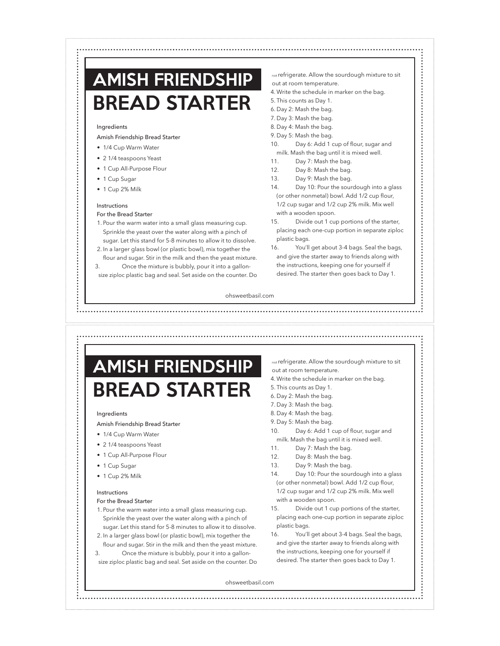### BREAD STARTER AMISH FRIENDSHIP

#### Ingredients

#### Amish Friendship Bread Starter

- 1/4 Cup Warm Water
- 2 1/4 teaspoons Yeast
- 1 Cup All-Purpose Flour
- 1 Cup Sugar

• 1 Cup 2% Milk

#### Instructions

#### For the Bread Starter

- 1. Pour the warm water into a small glass measuring cup. Sprinkle the yeast over the water along with a pinch of sugar. Let this stand for 5-8 minutes to allow it to dissolve.
- 2. In a larger glass bowl (or plastic bowl), mix together the flour and sugar. Stir in the milk and then the yeast mixture.
- 3. Once the mixture is bubbly, pour it into a gallonsize ziploc plastic bag and seal. Set aside on the counter. Do
- not refrigerate. Allow the sourdough mixture to sit out at room temperature.
- 4. Write the schedule in marker on the bag.
- 5. This counts as Day 1.
- 6. Day 2: Mash the bag.
- 7. Day 3: Mash the bag.
- 8. Day 4: Mash the bag.
- 9. Day 5: Mash the bag.
- 10. Day 6: Add 1 cup of flour, sugar and milk. Mash the bag until it is mixed well.
- 11. Day 7: Mash the bag.
- 12. Day 8: Mash the bag.
- 13. Day 9: Mash the bag.
- 14. Day 10: Pour the sourdough into a glass (or other nonmetal) bowl. Add 1/2 cup flour, 1/2 cup sugar and 1/2 cup 2% milk. Mix well with a wooden spoon.
- 15. Divide out 1 cup portions of the starter, placing each one-cup portion in separate ziploc plastic bags.
- 16. You'll get about 3-4 bags. Seal the bags, and give the starter away to friends along with the instructions, keeping one for yourself if desired. The starter then goes back to Day 1.

### BREAD STARTER AMISH FRIENDSHIP

#### Ingredients

#### Amish Friendship Bread Starter

- 1/4 Cup Warm Water
- 2 1/4 teaspoons Yeast
- 1 Cup All-Purpose Flour
- 1 Cup Sugar

• 1 Cup 2% Milk

#### Instructions

#### For the Bread Starter

- 1. Pour the warm water into a small glass measuring cup. Sprinkle the yeast over the water along with a pinch of sugar. Let this stand for 5-8 minutes to allow it to dissolve.
- 2. In a larger glass bowl (or plastic bowl), mix together the flour and sugar. Stir in the milk and then the yeast mixture.
- 3. Once the mixture is bubbly, pour it into a gallonsize ziploc plastic bag and seal. Set aside on the counter. Do

not refrigerate. Allow the sourdough mixture to sit out at room temperature.

- 4. Write the schedule in marker on the bag.
- 5. This counts as Day 1.
- 6. Day 2: Mash the bag.
- 7. Day 3: Mash the bag.
- 8. Day 4: Mash the bag.
- 9. Day 5: Mash the bag.
- 10. Day 6: Add 1 cup of flour, sugar and milk. Mash the bag until it is mixed well.
- 11. Day 7: Mash the bag.
- 12. Day 8: Mash the bag.
- 13. Day 9: Mash the bag.
- 14. Day 10: Pour the sourdough into a glass (or other nonmetal) bowl. Add 1/2 cup flour, 1/2 cup sugar and 1/2 cup 2% milk. Mix well with a wooden spoon.
- 15. Divide out 1 cup portions of the starter, placing each one-cup portion in separate ziploc plastic bags.
- 16. You'll get about 3-4 bags. Seal the bags, and give the starter away to friends along with the instructions, keeping one for yourself if desired. The starter then goes back to Day 1.

ohsweetbasil.com

ohsweetbasil.com